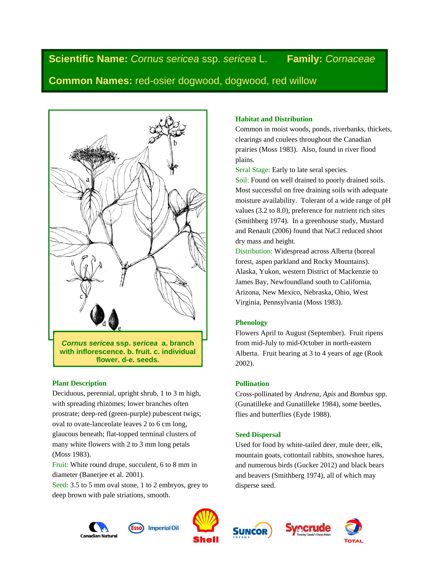**Scientific Name:** *Cornus sericea* ssp. *sericea* L. **Family:** *Cornaceae*

**Common Names:** red-osier dogwood, dogwood, red willow



### **Plant Description**

Deciduous, perennial, upright shrub, 1 to 3 m high, with spreading rhizomes; lower branches often prostrate; deep-red (green-purple) pubescent twigs; oval to ovate-lanceolate leaves 2 to 6 cm long, glaucous beneath; flat-topped terminal clusters of many white flowers with 2 to 3 mm long petals (Moss 1983).

Fruit: White round drupe, succulent, 6 to 8 mm in diameter (Banerjee et al. 2001).

Seed: 3.5 to 5 mm oval stone, 1 to 2 embryos, grey to deep brown with pale striations, smooth.

# **Habitat and Distribution**

Common in moist woods, ponds, riverbanks, thickets, clearings and coulees throughout the Canadian prairies (Moss 1983). Also, found in river flood plains.

Seral Stage: Early to late seral species.

Soil: Found on well drained to poorly drained soils. Most successful on free draining soils with adequate moisture availability. Tolerant of a wide range of pH values (3.2 to 8.0), preference for nutrient rich sites (Smithberg 1974). In a greenhouse study, Mustard and Renault (2006) found that NaCl reduced shoot dry mass and height.

Distribution: Widespread across Alberta (boreal forest, aspen parkland and Rocky Mountains). Alaska, Yukon, western District of Mackenzie to James Bay, Newfoundland south to California, Arizona, New Mexico, Nebraska, Ohio, West Virginia, Pennsylvania (Moss 1983).

### **Phenology**

Flowers April to August (September). Fruit ripens from mid-July to mid-October in north-eastern Alberta. Fruit bearing at 3 to 4 years of age (Rook 2002).

## **Pollination**

Cross-pollinated by *Andrena, Apis* and *Bombus* spp. (Gunatilleke and Gunatilleke 1984), some beetles, flies and butterflies (Eyde 1988).

### **Seed Dispersal**

Used for food by white-tailed deer, mule deer, elk, mountain goats, cottontail rabbits, snowshoe hares, and numerous birds (Gucker 2012) and black bears and beavers (Smithberg 1974), all of which may disperse seed.









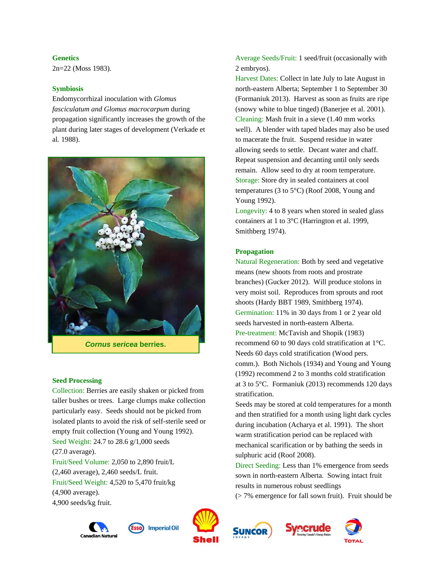**Genetics** 

2n=22 (Moss 1983).

### **Symbiosis**

Endomycorrhizal inoculation with *Glomus fasciculatum and Glomus macrocarpum* during propagation significantly increases the growth of the plant during later stages of development (Verkade et al*.* 1988).



*Cornus sericea* **berries.** 

#### **Seed Processing**

Collection: Berries are easily shaken or picked from taller bushes or trees. Large clumps make collection particularly easy. Seeds should not be picked from isolated plants to avoid the risk of self-sterile seed or empty fruit collection (Young and Young 1992). Seed Weight: 24.7 to 28.6 g/1,000 seeds (27.0 average). Fruit/Seed Volume: 2,050 to 2,890 fruit/L (2,460 average), 2,460 seeds/L fruit. Fruit/Seed Weight: 4,520 to 5,470 fruit/kg (4,900 average).

4,900 seeds/kg fruit.





**Imperial Oil** 

Average Seeds/Fruit: 1 seed/fruit (occasionally with 2 embryos).

Harvest Dates: Collect in late July to late August in north-eastern Alberta; September 1 to September 30 (Formaniuk 2013). Harvest as soon as fruits are ripe (snowy white to blue tinged) (Banerjee et al. 2001). Cleaning: Mash fruit in a sieve (1.40 mm works well). A blender with taped blades may also be used to macerate the fruit. Suspend residue in water allowing seeds to settle. Decant water and chaff. Repeat suspension and decanting until only seeds remain. Allow seed to dry at room temperature. Storage: Store dry in sealed containers at cool temperatures (3 to 5°C) (Roof 2008, Young and Young 1992).

Longevity: 4 to 8 years when stored in sealed glass containers at 1 to 3°C (Harrington et al. 1999, Smithberg 1974).

## **Propagation**

Natural Regeneration: Both by seed and vegetative means (new shoots from roots and prostrate branches) (Gucker 2012). Will produce stolons in very moist soil. Reproduces from sprouts and root shoots (Hardy BBT 1989, Smithberg 1974). Germination: 11% in 30 days from 1 or 2 year old seeds harvested in north-eastern Alberta. Pre-treatment: McTavish and Shopik (1983) recommend 60 to 90 days cold stratification at 1°C. Needs 60 days cold stratification (Wood pers. comm.). Both Nichols (1934) and Young and Young (1992) recommend 2 to 3 months cold stratification at 3 to 5°C. Formaniuk (2013) recommends 120 days stratification.

Seeds may be stored at cold temperatures for a month and then stratified for a month using light dark cycles during incubation (Acharya et al. 1991). The short warm stratification period can be replaced with mechanical scarification or by bathing the seeds in sulphuric acid (Roof 2008).

Direct Seeding: Less than 1% emergence from seeds sown in north-eastern Alberta. Sowing intact fruit results in numerous robust seedlings (> 7% emergence for fall sown fruit). Fruit should be



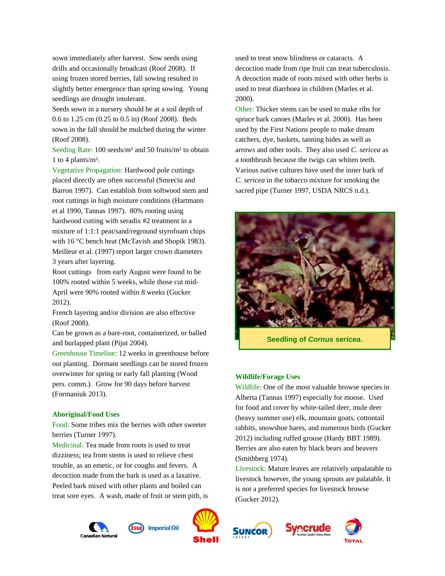sown immediately after harvest. Sow seeds using drills and occasionally broadcast (Roof 2008). If using frozen stored berries, fall sowing resulted in slightly better emergence than spring sowing. Young seedlings are drought intolerant.

Seeds sown in a nursery should be at a soil depth of 0.6 to 1.25 cm (0.25 to 0.5 in) (Roof 2008). Beds sown in the fall should be mulched during the winter (Roof 2008).

Seeding Rate: 100 seeds/m<sup>2</sup> and 50 fruits/m<sup>2</sup> to obtain 1 to 4 plants/m².

Vegetative Propagation: Hardwood pole cuttings placed directly are often successful (Smreciu and Barron 1997). Can establish from softwood stem and root cuttings in high moisture conditions (Hartmann et al 1990, Tannas 1997). 80% rooting using hardwood cutting with seradix #2 treatment in a mixture of 1:1:1 peat/sand/reground styrofoam chips with 16 °C bench heat (McTavish and Shopik 1983). Meilleur et al. (1997) report larger crown diameters 3 years after layering.

Root cuttings from early August were found to be 100% rooted within 5 weeks, while those cut mid-April were 90% rooted within 8 weeks (Gucker 2012).

French layering and/or division are also effective (Roof 2008).

Can be grown as a bare-root, containerized, or balled and burlapped plant (Pijut 2004).

Greenhouse Timeline: 12 weeks in greenhouse before out planting. Dormant seedlings can be stored frozen overwinter for spring or early fall planting (Wood pers. comm.)*.* Grow for 90 days before harvest (Formaniuk 2013).

#### **Aboriginal/Food Uses**

Food: Some tribes mix the berries with other sweeter berries (Turner 1997).

Medicinal: Tea made from roots is used to treat dizziness; tea from stems is used to relieve chest trouble, as an emetic, or for coughs and fevers. A decoction made from the bark is used as a laxative. Peeled bark mixed with other plants and boiled can treat sore eyes. A wash, made of fruit or stem pith, is

used to treat snow blindness or cataracts. A decoction made from ripe fruit can treat tuberculosis. A decoction made of roots mixed with other herbs is used to treat diarrhoea in children (Marles et al. 2000).

Other: Thicker stems can be used to make ribs for spruce bark canoes (Marles et al. 2000). Has been used by the First Nations people to make dream catchers, dye, baskets, tanning hides as well as arrows and other tools. They also used *C. sericea* as a toothbrush because the twigs can whiten teeth. Various native cultures have used the inner bark of *C. sericea* in the tobacco mixture for smoking the sacred pipe (Turner 1997, USDA NRCS n.d.).



**Seedling of** *Cornus sericea***.** 

#### **Wildlife/Forage Uses**

Wildlife: One of the most valuable browse species in Alberta (Tannas 1997) especially for moose. Used for food and cover by white-tailed deer, mule deer (heavy summer use) elk, mountain goats, cottontail rabbits, snowshoe hares, and numerous birds (Gucker 2012) including ruffed grouse (Hardy BBT 1989). Berries are also eaten by black bears and beavers (Smithberg 1974).

Livestock: Mature leaves are relatively unpalatable to livestock however, the young sprouts are palatable. It is not a preferred species for livestock browse (Gucker 2012).





**Imperial Oil** 



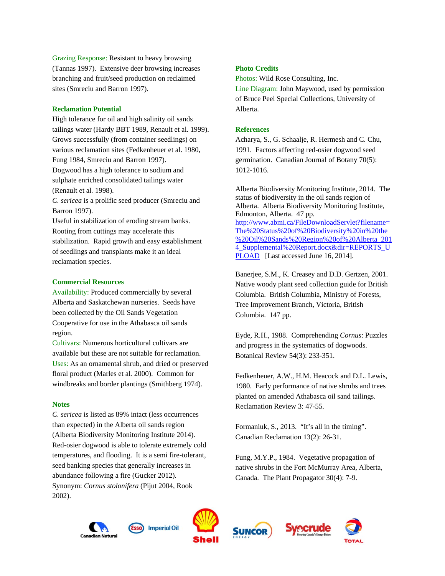Grazing Response: Resistant to heavy browsing (Tannas 1997). Extensive deer browsing increases branching and fruit/seed production on reclaimed sites (Smreciu and Barron 1997).

#### **Reclamation Potential**

High tolerance for oil and high salinity oil sands tailings water (Hardy BBT 1989, Renault et al. 1999). Grows successfully (from container seedlings) on various reclamation sites (Fedkenheuer et al. 1980, Fung 1984, Smreciu and Barron 1997). Dogwood has a high tolerance to sodium and sulphate enriched consolidated tailings water (Renault et al*.* 1998). *C. sericea* is a prolific seed producer (Smreciu and Barron 1997). Useful in stabilization of eroding stream banks. Rooting from cuttings may accelerate this stabilization. Rapid growth and easy establishment of seedlings and transplants make it an ideal reclamation species.

#### **Commercial Resources**

Availability: Produced commercially by several Alberta and Saskatchewan nurseries. Seeds have been collected by the Oil Sands Vegetation Cooperative for use in the Athabasca oil sands region.

Cultivars: Numerous horticultural cultivars are available but these are not suitable for reclamation. Uses: As an ornamental shrub, and dried or preserved floral product (Marles et al*.* 2000). Common for windbreaks and border plantings (Smithberg 1974).

#### **Notes**

*C. sericea* is listed as 89% intact (less occurrences than expected) in the Alberta oil sands region (Alberta Biodiversity Monitoring Institute 2014). Red-osier dogwood is able to tolerate extremely cold temperatures, and flooding. It is a semi fire-tolerant, seed banking species that generally increases in abundance following a fire (Gucker 2012). Synonym: *Cornus stolonifera* (Pijut 2004, Rook 2002).

### **Photo Credits**

Photos: Wild Rose Consulting, Inc.

Line Diagram: John Maywood, used by permission of Bruce Peel Special Collections, University of Alberta.

#### **References**

Acharya, S., G. Schaalje, R. Hermesh and C. Chu, 1991. Factors affecting red-osier dogwood seed germination. Canadian Journal of Botany 70(5): 1012-1016.

Alberta Biodiversity Monitoring Institute, 2014. The status of biodiversity in the oil sands region of Alberta. Alberta Biodiversity Monitoring Institute, Edmonton, Alberta. 47 pp. http://www.abmi.ca/FileDownloadServlet?filename= The%20Status%20of%20Biodiversity%20in%20the %20Oil%20Sands%20Region%20of%20Alberta\_201 4 Supplemental%20Report.docx&dir=REPORTS\_U PLOAD [Last accessed June 16, 2014].

Banerjee, S.M., K. Creasey and D.D. Gertzen, 2001. Native woody plant seed collection guide for British Columbia. British Columbia, Ministry of Forests, Tree Improvement Branch, Victoria, British Columbia. 147 pp.

Eyde, R.H., 1988. Comprehending *Cornus*: Puzzles and progress in the systematics of dogwoods. Botanical Review 54(3): 233-351.

Fedkenheuer, A.W., H.M. Heacock and D.L. Lewis, 1980. Early performance of native shrubs and trees planted on amended Athabasca oil sand tailings. Reclamation Review 3: 47-55.

Formaniuk, S., 2013. "It's all in the timing". Canadian Reclamation 13(2): 26-31.

Fung, M.Y.P., 1984. Vegetative propagation of native shrubs in the Fort McMurray Area, Alberta, Canada. The Plant Propagator 30(4): 7-9.





**Imperial Oil** 



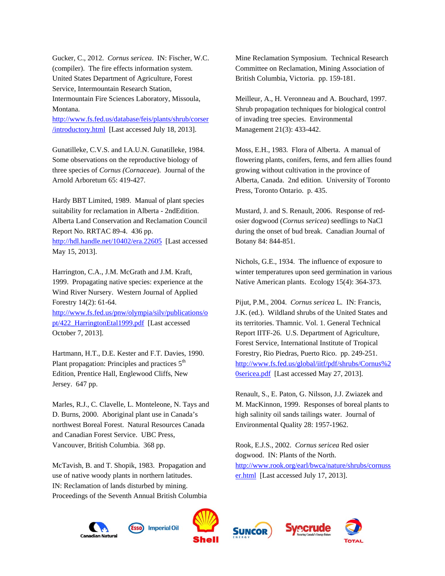Gucker, C., 2012. *Cornus sericea*. IN: Fischer, W.C. (compiler). The fire effects information system. United States Department of Agriculture, Forest Service, Intermountain Research Station, Intermountain Fire Sciences Laboratory, Missoula, Montana.

http://www.fs.fed.us/database/feis/plants/shrub/corser /introductory.html [Last accessed July 18, 2013].

Gunatilleke, C.V.S. and I.A.U.N. Gunatilleke, 1984. Some observations on the reproductive biology of three species of *Cornus (Cornaceae*). Journal of the Arnold Arboretum 65: 419-427.

Hardy BBT Limited, 1989. Manual of plant species suitability for reclamation in Alberta - 2ndEdition. Alberta Land Conservation and Reclamation Council Report No. RRTAC 89-4. 436 pp. http://hdl.handle.net/10402/era.22605 [Last accessed May 15, 2013].

Harrington, C.A., J.M. McGrath and J.M. Kraft, 1999. Propagating native species: experience at the Wind River Nursery. Western Journal of Applied Forestry 14(2): 61-64. http://www.fs.fed.us/pnw/olympia/silv/publications/o pt/422\_HarringtonEtal1999.pdf [Last accessed

October 7, 2013].

Hartmann, H.T., D.E. Kester and F.T. Davies, 1990. Plant propagation: Principles and practices  $5<sup>th</sup>$ Edition, Prentice Hall, Englewood Cliffs, New Jersey. 647 pp.

Marles, R.J., C. Clavelle, L. Monteleone, N. Tays and D. Burns, 2000. Aboriginal plant use in Canada's northwest Boreal Forest. Natural Resources Canada and Canadian Forest Service. UBC Press, Vancouver, British Columbia. 368 pp.

McTavish, B. and T. Shopik, 1983. Propagation and use of native woody plants in northern latitudes. IN: Reclamation of lands disturbed by mining. Proceedings of the Seventh Annual British Columbia Mine Reclamation Symposium. Technical Research Committee on Reclamation, Mining Association of British Columbia, Victoria. pp. 159-181.

Meilleur, A., H. Veronneau and A. Bouchard, 1997. Shrub propagation techniques for biological control of invading tree species. Environmental Management 21(3): 433-442.

Moss, E.H., 1983. Flora of Alberta. A manual of flowering plants, conifers, ferns, and fern allies found growing without cultivation in the province of Alberta, Canada. 2nd edition. University of Toronto Press, Toronto Ontario. p. 435.

Mustard, J. and S. Renault, 2006. Response of redosier dogwood (*Cornus sericea*) seedlings to NaCl during the onset of bud break. Canadian Journal of Botany 84: 844-851.

Nichols, G.E., 1934. The influence of exposure to winter temperatures upon seed germination in various Native American plants. Ecology 15(4): 364-373.

Pijut, P.M., 2004. *Cornus sericea* L*.* IN: Francis, J.K. (ed.). Wildland shrubs of the United States and its territories. Thamnic. Vol. 1. General Technical Report IITF-26. U.S. Department of Agriculture, Forest Service, International Institute of Tropical Forestry, Rio Piedras, Puerto Rico. pp. 249-251. http://www.fs.fed.us/global/iitf/pdf/shrubs/Cornus%2 0sericea.pdf [Last accessed May 27, 2013].

Renault, S., E. Paton, G. Nilsson, J.J. Zwiazek and M. MacKinnon, 1999. Responses of boreal plants to high salinity oil sands tailings water. Journal of Environmental Quality 28: 1957-1962.

Rook, E.J.S., 2002. *Cornus sericea* Red osier dogwood. IN: Plants of the North. http://www.rook.org/earl/bwca/nature/shrubs/cornuss er.html [Last accessed July 17, 2013].